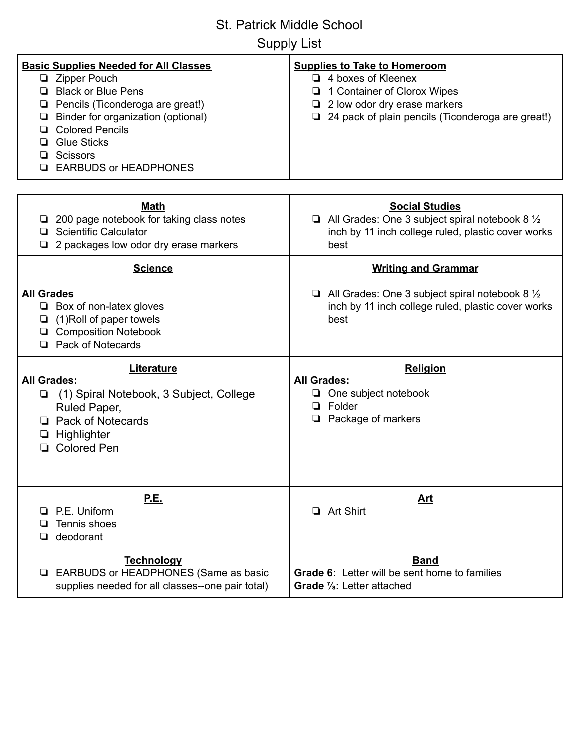Supply List

| <b>Basic Supplies Needed for All Classes</b><br>□ Zipper Pouch<br><b>Black or Blue Pens</b><br>Pencils (Ticonderoga are great!)<br>u<br>Binder for organization (optional)<br>❏<br><b>Colored Pencils</b><br>❏<br><b>Glue Sticks</b><br>ப<br><b>Scissors</b><br>u | <b>Supplies to Take to Homeroom</b><br>$\Box$ 4 boxes of Kleenex<br>1 Container of Clorox Wipes<br>2 low odor dry erase markers<br>24 pack of plain pencils (Ticonderoga are great!) |
|-------------------------------------------------------------------------------------------------------------------------------------------------------------------------------------------------------------------------------------------------------------------|--------------------------------------------------------------------------------------------------------------------------------------------------------------------------------------|
| <b>EARBUDS or HEADPHONES</b>                                                                                                                                                                                                                                      |                                                                                                                                                                                      |
| <b>Math</b><br>200 page notebook for taking class notes<br>u.<br><b>Scientific Calculator</b><br>2 packages low odor dry erase markers                                                                                                                            | <b>Social Studies</b><br>$\Box$ All Grades: One 3 subject spiral notebook 8 $\frac{1}{2}$<br>inch by 11 inch college ruled, plastic cover works<br>best                              |
| <b>Science</b>                                                                                                                                                                                                                                                    | <b>Writing and Grammar</b>                                                                                                                                                           |
| <b>All Grades</b><br>$\Box$ Box of non-latex gloves<br>(1) Roll of paper towels<br>❏<br><b>Q</b> Composition Notebook<br><b>Pack of Notecards</b><br>◻                                                                                                            | $\Box$ All Grades: One 3 subject spiral notebook 8 $\frac{1}{2}$<br>inch by 11 inch college ruled, plastic cover works<br>best                                                       |
| Literature<br><b>All Grades:</b><br>(1) Spiral Notebook, 3 Subject, College<br>Ruled Paper,<br><b>Pack of Notecards</b><br>Highlighter<br>⊔<br><b>Colored Pen</b>                                                                                                 | <b>Religion</b><br><b>All Grades:</b><br>One subject notebook<br>Folder<br>o.<br>Package of markers                                                                                  |
| <u>P.E.</u><br>P.E. Uniform<br>$\mathbf{L}$<br>Tennis shoes<br>❏<br>deodorant<br>ப                                                                                                                                                                                | <u>Art</u><br><b>Art Shirt</b><br>□                                                                                                                                                  |
| <b>Technology</b><br>EARBUDS or HEADPHONES (Same as basic<br>⊔<br>supplies needed for all classes--one pair total)                                                                                                                                                | <b>Band</b><br><b>Grade 6:</b> Letter will be sent home to families<br>Grade %: Letter attached                                                                                      |